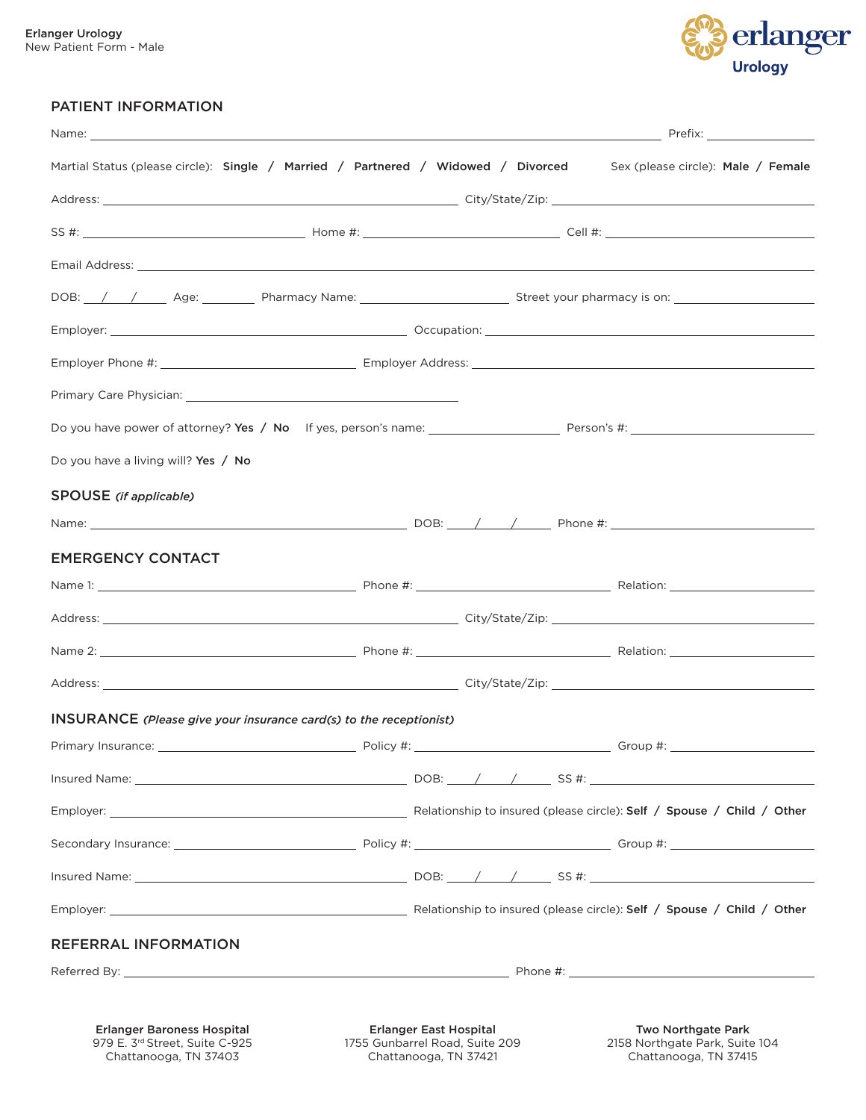

### PATIENT INFORMATION

| Name: _                                                                                                                |                               | <u>in the contract of the contract of the contract of the contract of the contract of the contract of the contract of the contract of the contract of the contract of the contract of the contract of the contract of the contra</u> |  |
|------------------------------------------------------------------------------------------------------------------------|-------------------------------|--------------------------------------------------------------------------------------------------------------------------------------------------------------------------------------------------------------------------------------|--|
| Martial Status (please circle): Single / Married / Partnered / Widowed / Divorced Sex (please circle): Male / Female   |                               |                                                                                                                                                                                                                                      |  |
|                                                                                                                        |                               |                                                                                                                                                                                                                                      |  |
|                                                                                                                        |                               |                                                                                                                                                                                                                                      |  |
| Email Address: <u>Alexander Address:</u> Alexander Address: Alexander Address: Alexander Address: Alexander Address: A |                               |                                                                                                                                                                                                                                      |  |
| DOB: /// Age: Pharmacy Name: Superson Street your pharmacy is on: Network Age: Network Pharmacy is on:                 |                               |                                                                                                                                                                                                                                      |  |
|                                                                                                                        |                               |                                                                                                                                                                                                                                      |  |
|                                                                                                                        |                               |                                                                                                                                                                                                                                      |  |
|                                                                                                                        |                               |                                                                                                                                                                                                                                      |  |
|                                                                                                                        |                               |                                                                                                                                                                                                                                      |  |
| Do you have a living will? Yes / No                                                                                    |                               |                                                                                                                                                                                                                                      |  |
| <b>SPOUSE</b> (if applicable)                                                                                          |                               |                                                                                                                                                                                                                                      |  |
|                                                                                                                        |                               |                                                                                                                                                                                                                                      |  |
| <b>EMERGENCY CONTACT</b>                                                                                               |                               |                                                                                                                                                                                                                                      |  |
|                                                                                                                        |                               |                                                                                                                                                                                                                                      |  |
|                                                                                                                        |                               |                                                                                                                                                                                                                                      |  |
|                                                                                                                        |                               |                                                                                                                                                                                                                                      |  |
|                                                                                                                        |                               |                                                                                                                                                                                                                                      |  |
| <b>INSURANCE</b> (Please give your insurance card(s) to the receptionist)                                              |                               |                                                                                                                                                                                                                                      |  |
|                                                                                                                        |                               |                                                                                                                                                                                                                                      |  |
|                                                                                                                        |                               |                                                                                                                                                                                                                                      |  |
|                                                                                                                        |                               |                                                                                                                                                                                                                                      |  |
|                                                                                                                        |                               |                                                                                                                                                                                                                                      |  |
|                                                                                                                        |                               |                                                                                                                                                                                                                                      |  |
|                                                                                                                        |                               |                                                                                                                                                                                                                                      |  |
| REFERRAL INFORMATION                                                                                                   |                               |                                                                                                                                                                                                                                      |  |
|                                                                                                                        |                               |                                                                                                                                                                                                                                      |  |
|                                                                                                                        |                               |                                                                                                                                                                                                                                      |  |
| <b>Erlanger Baroness Hospital</b>                                                                                      | <b>Erlanger East Hospital</b> | <b>Two Northgate Park</b>                                                                                                                                                                                                            |  |

979 E. 3rd Street, Suite C-925 Chattanooga, TN 37403

1755 Gunbarrel Road, Suite 209 Chattanooga, TN 37421

2158 Northgate Park, Suite 104 Chattanooga, TN 37415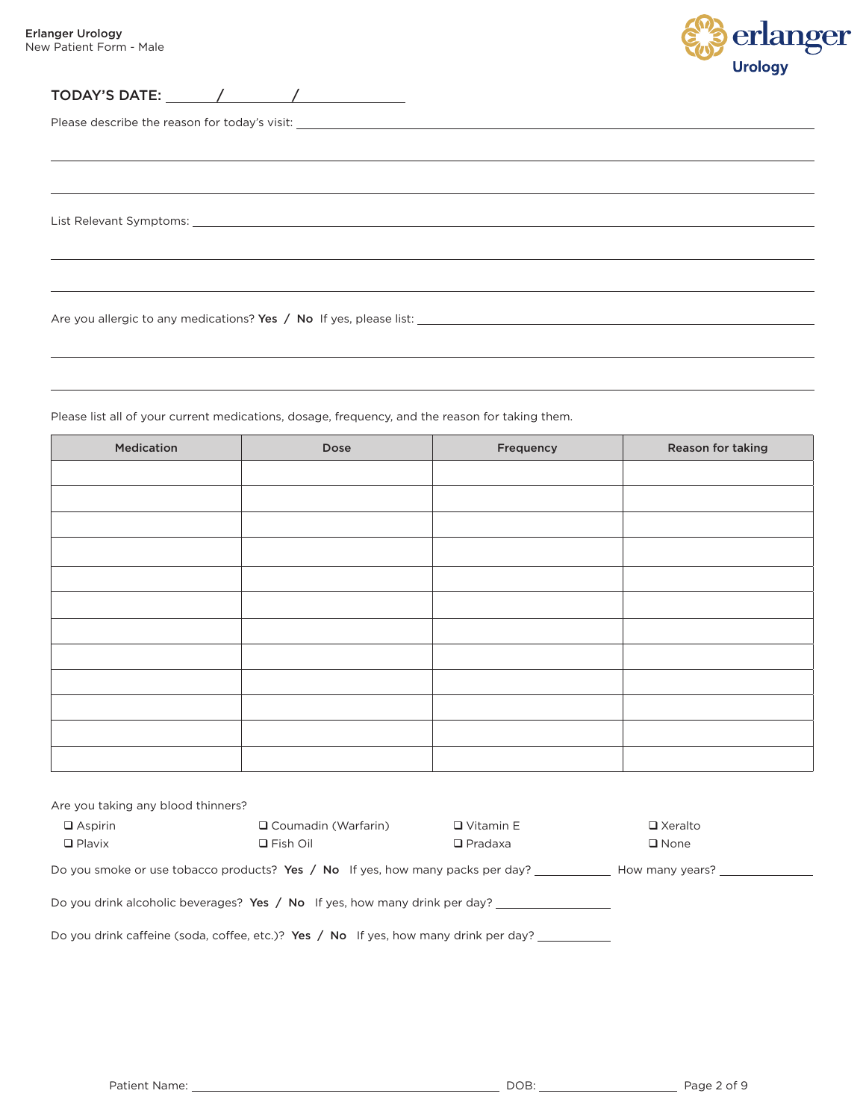$\overline{a}$ 



 $\sim$  10  $\pm$ 

TODAY'S DATE: / /

Please describe the reason for today's visit:

List Relevant Symptoms:

Are you allergic to any medications? Yes / No If yes, please list:

Please list all of your current medications, dosage, frequency, and the reason for taking them.

| Medication | Dose | Frequency | Reason for taking |
|------------|------|-----------|-------------------|
|            |      |           |                   |
|            |      |           |                   |
|            |      |           |                   |
|            |      |           |                   |
|            |      |           |                   |
|            |      |           |                   |
|            |      |           |                   |
|            |      |           |                   |
|            |      |           |                   |
|            |      |           |                   |
|            |      |           |                   |
|            |      |           |                   |
|            |      |           |                   |

| Are you taking any blood thinners?                                                                      |                            |                  |                |  |  |  |  |  |
|---------------------------------------------------------------------------------------------------------|----------------------------|------------------|----------------|--|--|--|--|--|
| $\Box$ Aspirin                                                                                          | $\Box$ Coumadin (Warfarin) | $\Box$ Vitamin E | □ Xeralto      |  |  |  |  |  |
| $\Box$ Plavix                                                                                           | $\Box$ Fish Oil            | $\Box$ Pradaxa   | $\square$ None |  |  |  |  |  |
| Do you smoke or use tobacco products? Yes $\land$ No If yes, how many packs per day?<br>How many years? |                            |                  |                |  |  |  |  |  |
| Do you drink alcoholic beverages? Yes / No If yes, how many drink per day?                              |                            |                  |                |  |  |  |  |  |
| Do you drink caffeine (soda, coffee, etc.)? Yes / No If yes, how many drink per day?                    |                            |                  |                |  |  |  |  |  |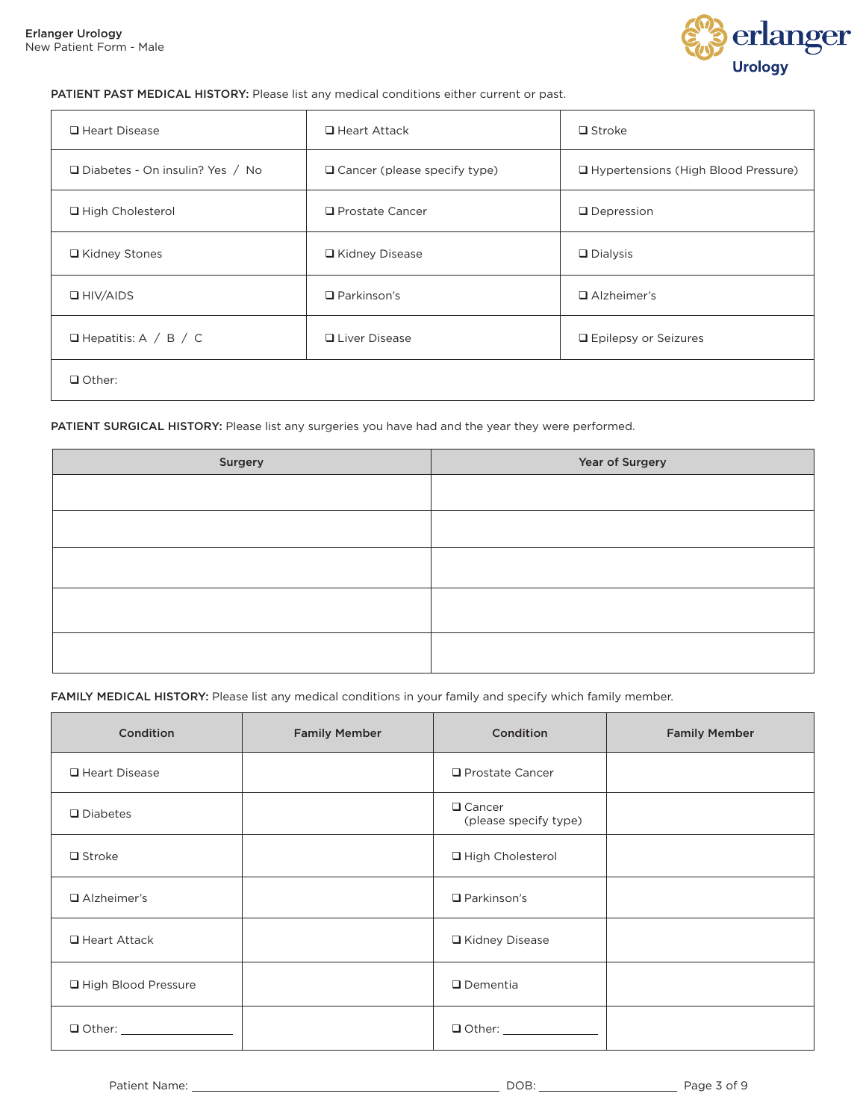

#### PATIENT PAST MEDICAL HISTORY: Please list any medical conditions either current or past.

| □ Heart Disease                   | $\Box$ Heart Attack                 | $\Box$ Stroke                         |
|-----------------------------------|-------------------------------------|---------------------------------------|
| □ Diabetes - On insulin? Yes / No | $\Box$ Cancer (please specify type) | □ Hypertensions (High Blood Pressure) |
| □ High Cholesterol                | $\Box$ Prostate Cancer              | $\Box$ Depression                     |
| □ Kidney Stones                   | □ Kidney Disease                    | $\Box$ Dialysis                       |
| $\Box$ HIV/AIDS                   | $\Box$ Parkinson's                  | $\Box$ Alzheimer's                    |
| $\Box$ Hepatitis: A / B / C       | <b>Q</b> Liver Disease              | □ Epilepsy or Seizures                |
| $\Box$ Other:                     |                                     |                                       |

#### PATIENT SURGICAL HISTORY: Please list any surgeries you have had and the year they were performed.

| Surgery | Year of Surgery |
|---------|-----------------|
|         |                 |
|         |                 |
|         |                 |
|         |                 |
|         |                 |
|         |                 |
|         |                 |
|         |                 |

FAMILY MEDICAL HISTORY: Please list any medical conditions in your family and specify which family member.

| Condition           | <b>Family Member</b> | Condition                              | <b>Family Member</b> |
|---------------------|----------------------|----------------------------------------|----------------------|
| □ Heart Disease     |                      | $\Box$ Prostate Cancer                 |                      |
| $\Box$ Diabetes     |                      | $\Box$ Cancer<br>(please specify type) |                      |
| $\Box$ Stroke       |                      | □ High Cholesterol                     |                      |
| $\Box$ Alzheimer's  |                      | $\Box$ Parkinson's                     |                      |
| $\Box$ Heart Attack |                      | □ Kidney Disease                       |                      |
| High Blood Pressure |                      | $\Box$ Dementia                        |                      |
| $\Box$ Other:       |                      |                                        |                      |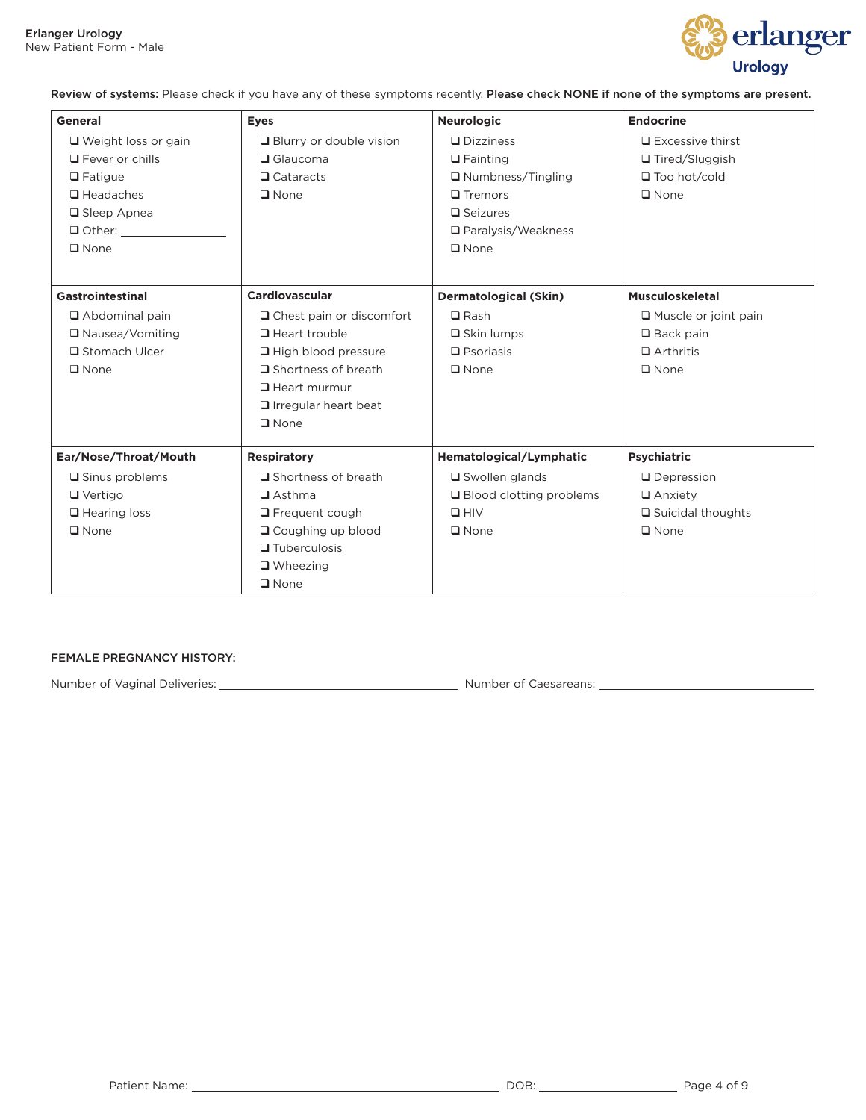

Review of systems: Please check if you have any of these symptoms recently. Please check NONE if none of the symptoms are present.

| General                    | <b>Eyes</b>                     | <b>Neurologic</b>            | <b>Endocrine</b>            |
|----------------------------|---------------------------------|------------------------------|-----------------------------|
| $\Box$ Weight loss or gain | $\Box$ Blurry or double vision  | $\Box$ Dizziness             | $\Box$ Excessive thirst     |
| $\Box$ Fever or chills     | $\Box$ Glaucoma                 | $\Box$ Fainting              | □ Tired/Sluggish            |
| $\Box$ Fatigue             | $\Box$ Cataracts                | $\Box$ Numbness/Tingling     | $\Box$ Too hot/cold         |
| $\Box$ Headaches           | $\Box$ None                     | $\Box$ Tremors               | $\square$ None              |
| □ Sleep Apnea              |                                 | $\square$ Seizures           |                             |
| $\Box$ Other:              |                                 | □ Paralysis/Weakness         |                             |
| $\square$ None             |                                 | $\square$ None               |                             |
|                            |                                 |                              |                             |
| Gastrointestinal           | Cardiovascular                  | <b>Dermatological (Skin)</b> | <b>Musculoskeletal</b>      |
| $\Box$ Abdominal pain      | $\Box$ Chest pain or discomfort | $\Box$ Rash                  | $\Box$ Muscle or joint pain |
| □ Nausea/Vomiting          | Heart trouble                   | $\Box$ Skin lumps            | $\Box$ Back pain            |
| □ Stomach Ulcer            | $\Box$ High blood pressure      | $\Box$ Psoriasis             | $\Box$ Arthritis            |
| $\square$ None             | □ Shortness of breath           | $\square$ None               | $\square$ None              |
|                            | $\Box$ Heart murmur             |                              |                             |
|                            | $\Box$ Irregular heart beat     |                              |                             |
|                            | $\square$ None                  |                              |                             |
| Ear/Nose/Throat/Mouth      | <b>Respiratory</b>              | Hematological/Lymphatic      | <b>Psychiatric</b>          |
| $\square$ Sinus problems   | $\Box$ Shortness of breath      | $\square$ Swollen glands     | $\Box$ Depression           |
| $\Box$ Vertigo             | $\Box$ Asthma                   | □ Blood clotting problems    | $\Box$ Anxiety              |
| $\Box$ Hearing loss        | $\Box$ Frequent cough           | $\square$ HIV                | $\Box$ Suicidal thoughts    |
| $\square$ None             | □ Coughing up blood             | $\square$ None               | $\square$ None              |
|                            | $\Box$ Tuberculosis             |                              |                             |
|                            | $\Box$ Wheezing                 |                              |                             |
|                            | $\Box$ None                     |                              |                             |

#### FEMALE PREGNANCY HISTORY:

Number of Vaginal Deliveries: Number of Caesareans: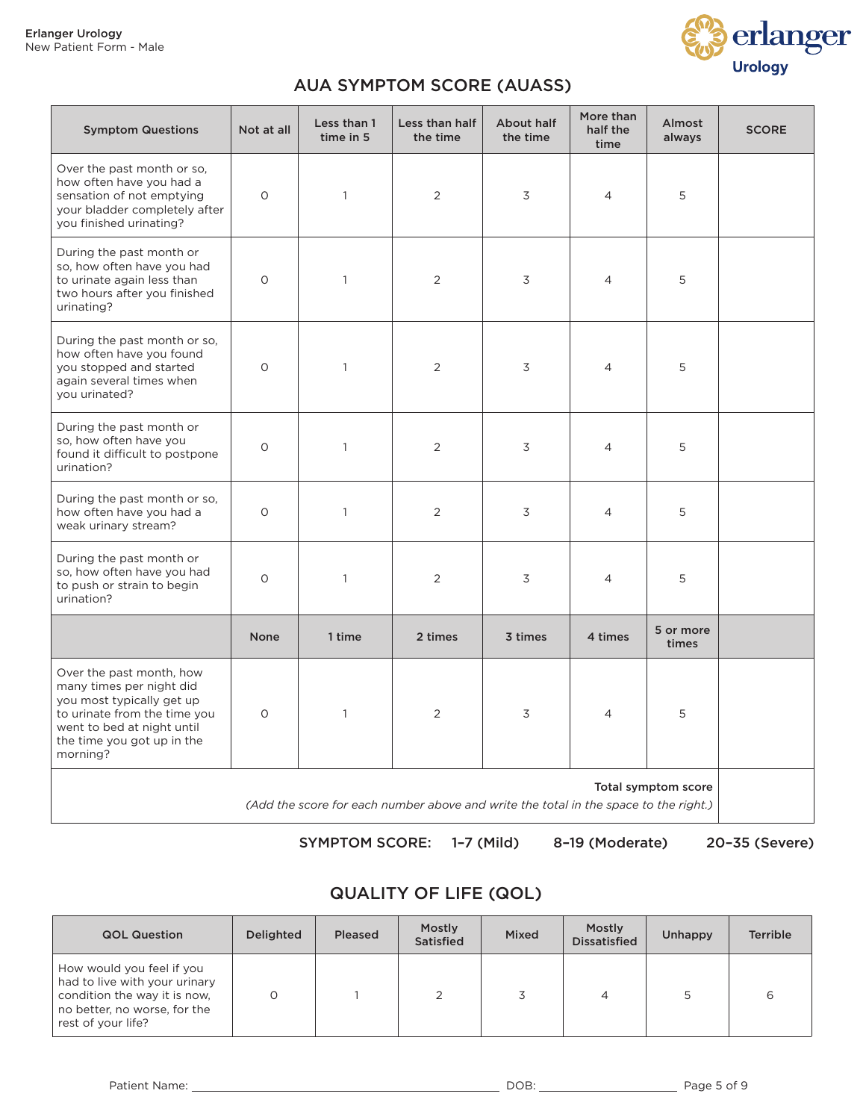

### AUA SYMPTOM SCORE (AUASS)

| <b>Symptom Questions</b>                                                                                                                                                                  | Not at all  | Less than 1<br>time in 5 | Less than half<br>the time | About half<br>the time | More than<br>half the<br>time | Almost<br>always   | <b>SCORE</b> |
|-------------------------------------------------------------------------------------------------------------------------------------------------------------------------------------------|-------------|--------------------------|----------------------------|------------------------|-------------------------------|--------------------|--------------|
| Over the past month or so,<br>how often have you had a<br>sensation of not emptying<br>your bladder completely after<br>you finished urinating?                                           | $\circ$     | $\mathbf{1}$             | 2                          | 3                      | $\overline{4}$                | 5                  |              |
| During the past month or<br>so, how often have you had<br>to urinate again less than<br>two hours after you finished<br>urinating?                                                        | $\circ$     | $\mathbf{1}$             | 2                          | 3                      | $\overline{4}$                | 5                  |              |
| During the past month or so,<br>how often have you found<br>you stopped and started<br>again several times when<br>you urinated?                                                          | $\circ$     | $\mathbf{1}$             | 2                          | 3                      | $\overline{4}$                | 5                  |              |
| During the past month or<br>so, how often have you<br>found it difficult to postpone<br>urination?                                                                                        | $\circ$     | $\mathbf{1}$             | 2                          | 3                      | $\overline{4}$                | 5                  |              |
| During the past month or so,<br>how often have you had a<br>weak urinary stream?                                                                                                          | $\circ$     | $\mathbf{1}$             | 2                          | 3                      | 4                             | 5                  |              |
| During the past month or<br>so, how often have you had<br>to push or strain to begin<br>urination?                                                                                        | $\Omega$    | $\mathbf{1}$             | 2                          | 3                      | $\overline{4}$                | 5                  |              |
|                                                                                                                                                                                           | <b>None</b> | 1 time                   | 2 times                    | 3 times                | 4 times                       | 5 or more<br>times |              |
| Over the past month, how<br>many times per night did<br>you most typically get up<br>to urinate from the time you<br>went to bed at night until<br>the time you got up in the<br>morning? | $\Omega$    | $\mathbf{1}$             | 2                          | 3                      | $\overline{4}$                | 5                  |              |
| Total symptom score<br>(Add the score for each number above and write the total in the space to the right.)                                                                               |             |                          |                            |                        |                               |                    |              |

SYMPTOM SCORE: 1–7 (Mild) 8–19 (Moderate) 20–35 (Severe)

# QUALITY OF LIFE (QOL)

| <b>QOL Question</b>                                                                                                                              | <b>Delighted</b> | Pleased | Mostly<br><b>Satisfied</b> | Mixed | Mostly<br><b>Dissatisfied</b> | Unhappy | <b>Terrible</b> |
|--------------------------------------------------------------------------------------------------------------------------------------------------|------------------|---------|----------------------------|-------|-------------------------------|---------|-----------------|
| How would you feel if you<br>had to live with your urinary<br>condition the way it is now,<br>no better, no worse, for the<br>rest of your life? |                  |         |                            |       | 4                             |         | ь               |